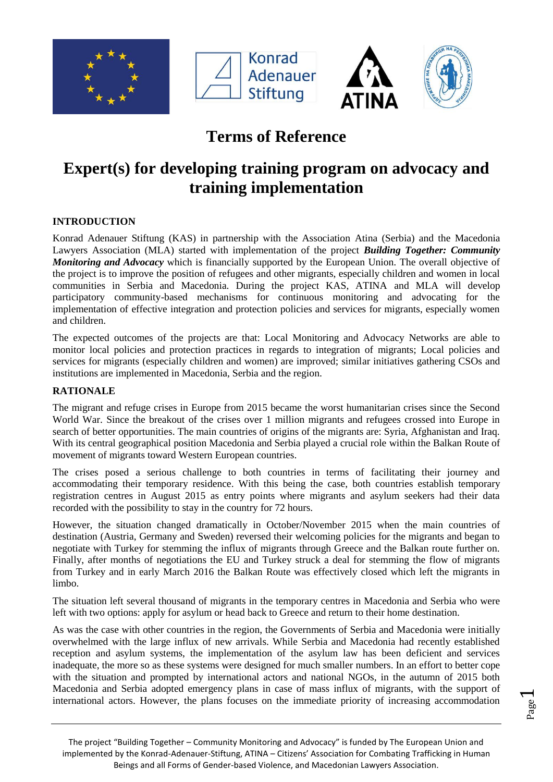





Page  $\overline{\phantom{0}}$ 

# **Terms of Reference**

# **Expert(s) for developing training program on advocacy and training implementation**

## **INTRODUCTION**

Konrad Adenauer Stiftung (KAS) in partnership with the Association Atina (Serbia) and the Macedonia Lawyers Association (MLA) started with implementation of the project *Building Together: Community Monitoring and Advocacy* which is financially supported by the European Union. The overall objective of the project is to improve the position of refugees and other migrants, especially children and women in local communities in Serbia and Macedonia. During the project KAS, ATINA and MLA will develop participatory community-based mechanisms for continuous monitoring and advocating for the implementation of effective integration and protection policies and services for migrants, especially women and children.

The expected outcomes of the projects are that: Local Monitoring and Advocacy Networks are able to monitor local policies and protection practices in regards to integration of migrants; Local policies and services for migrants (especially children and women) are improved; similar initiatives gathering CSOs and institutions are implemented in Macedonia, Serbia and the region.

### **RATIONALE**

The migrant and refuge crises in Europe from 2015 became the worst humanitarian crises since the Second World War. Since the breakout of the crises over 1 million migrants and refugees crossed into Europe in search of better opportunities. The main countries of origins of the migrants are: Syria, Afghanistan and Iraq. With its central geographical position Macedonia and Serbia played a crucial role within the Balkan Route of movement of migrants toward Western European countries.

The crises posed a serious challenge to both countries in terms of facilitating their journey and accommodating their temporary residence. With this being the case, both countries establish temporary registration centres in August 2015 as entry points where migrants and asylum seekers had their data recorded with the possibility to stay in the country for 72 hours.

However, the situation changed dramatically in October/November 2015 when the main countries of destination (Austria, Germany and Sweden) reversed their welcoming policies for the migrants and began to negotiate with Turkey for stemming the influx of migrants through Greece and the Balkan route further on. Finally, after months of negotiations the EU and Turkey struck a deal for stemming the flow of migrants from Turkey and in early March 2016 the Balkan Route was effectively closed which left the migrants in limbo.

The situation left several thousand of migrants in the temporary centres in Macedonia and Serbia who were left with two options: apply for asylum or head back to Greece and return to their home destination.

As was the case with other countries in the region, the Governments of Serbia and Macedonia were initially overwhelmed with the large influx of new arrivals. While Serbia and Macedonia had recently established reception and asylum systems, the implementation of the asylum law has been deficient and services inadequate, the more so as these systems were designed for much smaller numbers. In an effort to better cope with the situation and prompted by international actors and national NGOs, in the autumn of 2015 both Macedonia and Serbia adopted emergency plans in case of mass influx of migrants, with the support of international actors. However, the plans focuses on the immediate priority of increasing accommodation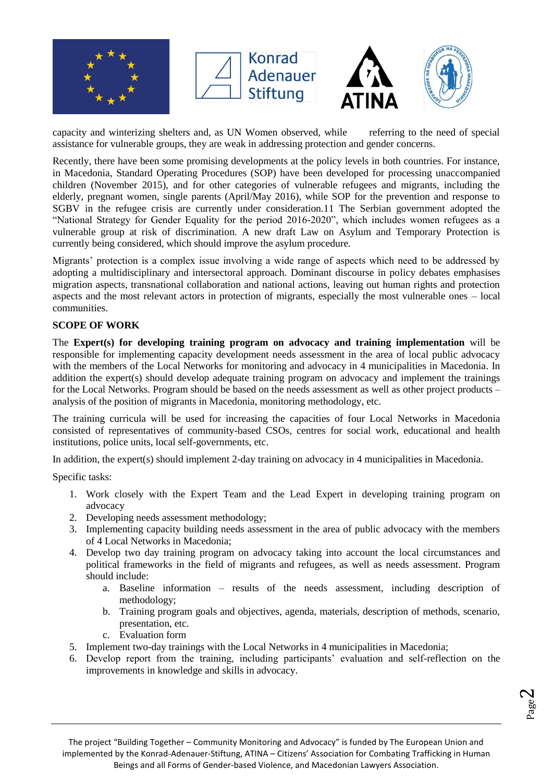







capacity and winterizing shelters and, as UN Women observed, while referring to the need of special assistance for vulnerable groups, they are weak in addressing protection and gender concerns.

Recently, there have been some promising developments at the policy levels in both countries. For instance, in Macedonia, Standard Operating Procedures (SOP) have been developed for processing unaccompanied children (November 2015), and for other categories of vulnerable refugees and migrants, including the elderly, pregnant women, single parents (April/May 2016), while SOP for the prevention and response to SGBV in the refugee crisis are currently under consideration.11 The Serbian government adopted the "National Strategy for Gender Equality for the period 2016-2020", which includes women refugees as a vulnerable group at risk of discrimination. A new draft Law on Asylum and Temporary Protection is currently being considered, which should improve the asylum procedure.

Migrants' protection is a complex issue involving a wide range of aspects which need to be addressed by adopting a multidisciplinary and intersectoral approach. Dominant discourse in policy debates emphasises migration aspects, transnational collaboration and national actions, leaving out human rights and protection aspects and the most relevant actors in protection of migrants, especially the most vulnerable ones – local communities.

### **SCOPE OF WORK**

The **Expert(s) for developing training program on advocacy and training implementation** will be responsible for implementing capacity development needs assessment in the area of local public advocacy with the members of the Local Networks for monitoring and advocacy in 4 municipalities in Macedonia. In addition the expert(s) should develop adequate training program on advocacy and implement the trainings for the Local Networks. Program should be based on the needs assessment as well as other project products – analysis of the position of migrants in Macedonia, monitoring methodology, etc.

The training curricula will be used for increasing the capacities of four Local Networks in Macedonia consisted of representatives of community-based CSOs, centres for social work, educational and health institutions, police units, local self-governments, etc.

In addition, the expert(s) should implement 2-day training on advocacy in 4 municipalities in Macedonia.

Specific tasks:

- 1. Work closely with the Expert Team and the Lead Expert in developing training program on advocacy
- 2. Developing needs assessment methodology;
- 3. Implementing capacity building needs assessment in the area of public advocacy with the members of 4 Local Networks in Macedonia;
- 4. Develop two day training program on advocacy taking into account the local circumstances and political frameworks in the field of migrants and refugees, as well as needs assessment. Program should include:
	- a. Baseline information results of the needs assessment, including description of methodology;
	- b. Training program goals and objectives, agenda, materials, description of methods, scenario, presentation, etc.
	- c. Evaluation form
- 5. Implement two-day trainings with the Local Networks in 4 municipalities in Macedonia;
- 6. Develop report from the training, including participants' evaluation and self-reflection on the improvements in knowledge and skills in advocacy.

The project "Building Together – Community Monitoring and Advocacy" is funded by The European Union and implemented by the Konrad-Adenauer-Stiftung, ATINA – Citizens' Association for Combating Trafficking in Human Beings and all Forms of Gender-based Violence, and Macedonian Lawyers Association.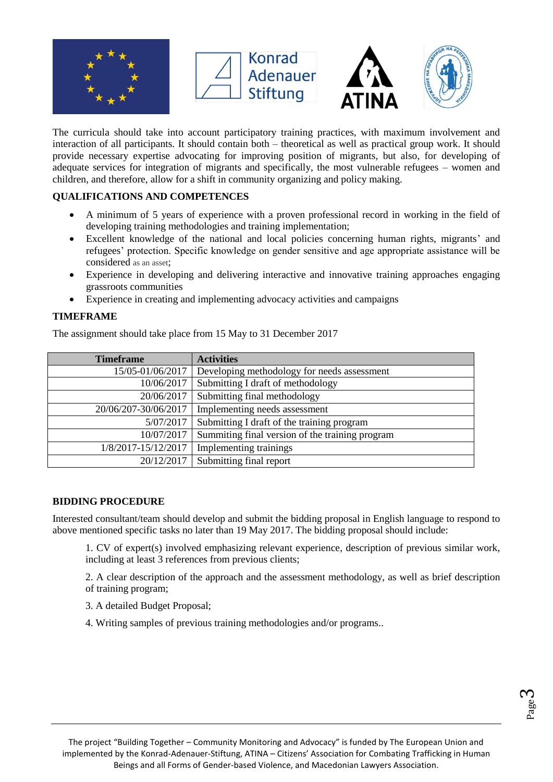





The curricula should take into account participatory training practices, with maximum involvement and interaction of all participants. It should contain both – theoretical as well as practical group work. It should provide necessary expertise advocating for improving position of migrants, but also, for developing of adequate services for integration of migrants and specifically, the most vulnerable refugees – women and children, and therefore, allow for a shift in community organizing and policy making.

## **QUALIFICATIONS AND COMPETENCES**

- A minimum of 5 years of experience with a proven professional record in working in the field of developing training methodologies and training implementation;
- Excellent knowledge of the national and local policies concerning human rights, migrants' and refugees' protection. Specific knowledge on gender sensitive and age appropriate assistance will be considered as an asset;
- Experience in developing and delivering interactive and innovative training approaches engaging grassroots communities
- Experience in creating and implementing advocacy activities and campaigns

## **TIMEFRAME**

The assignment should take place from 15 May to 31 December 2017

| <b>Timeframe</b>     | <b>Activities</b>                               |
|----------------------|-------------------------------------------------|
| 15/05-01/06/2017     | Developing methodology for needs assessment     |
| 10/06/2017           | Submitting I draft of methodology               |
| 20/06/2017           | Submitting final methodology                    |
| 20/06/207-30/06/2017 | Implementing needs assessment                   |
| 5/07/2017            | Submitting I draft of the training program      |
| 10/07/2017           | Summiting final version of the training program |
| 1/8/2017-15/12/2017  | <b>Implementing trainings</b>                   |
| 20/12/2017           | Submitting final report                         |

## **BIDDING PROCEDURE**

Interested consultant/team should develop and submit the bidding proposal in English language to respond to above mentioned specific tasks no later than 19 May 2017. The bidding proposal should include:

1. CV of expert(s) involved emphasizing relevant experience, description of previous similar work, including at least 3 references from previous clients;

2. A clear description of the approach and the assessment methodology, as well as brief description of training program;

3. A detailed Budget Proposal;

4. Writing samples of previous training methodologies and/or programs..